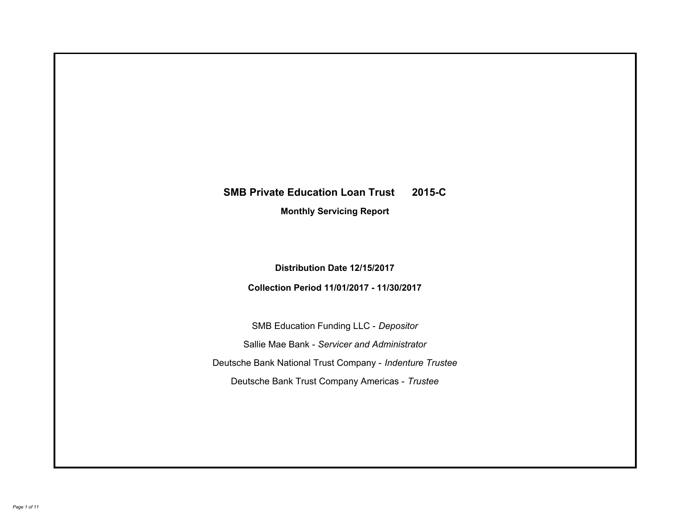# **SMB Private Education Loan Trust 2015-C Monthly Servicing Report**

**Distribution Date 12/15/2017**

**Collection Period 11/01/2017 - 11/30/2017**

SMB Education Funding LLC - *Depositor* Sallie Mae Bank - *Servicer and Administrator* Deutsche Bank National Trust Company - *Indenture Trustee* Deutsche Bank Trust Company Americas - *Trustee*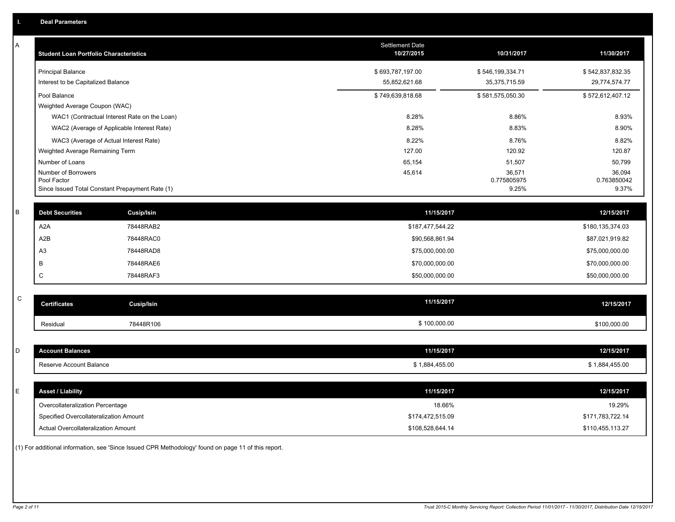| Α            | <b>Student Loan Portfolio Characteristics</b> |                                                 | <b>Settlement Date</b><br>10/27/2015 | 10/31/2017            | 11/30/2017            |
|--------------|-----------------------------------------------|-------------------------------------------------|--------------------------------------|-----------------------|-----------------------|
|              | <b>Principal Balance</b>                      |                                                 | \$693,787,197.00                     | \$546,199,334.71      | \$542,837,832.35      |
|              | Interest to be Capitalized Balance            |                                                 | 55,852,621.68                        | 35,375,715.59         | 29,774,574.77         |
|              | Pool Balance                                  |                                                 | \$749,639,818.68                     | \$581,575,050.30      | \$572,612,407.12      |
|              | Weighted Average Coupon (WAC)                 |                                                 |                                      |                       |                       |
|              |                                               | WAC1 (Contractual Interest Rate on the Loan)    | 8.28%                                | 8.86%                 | 8.93%                 |
|              |                                               | WAC2 (Average of Applicable Interest Rate)      | 8.28%                                | 8.83%                 | 8.90%                 |
|              | WAC3 (Average of Actual Interest Rate)        |                                                 | 8.22%                                | 8.76%                 | 8.82%                 |
|              | Weighted Average Remaining Term               |                                                 | 127.00                               | 120.92                | 120.87                |
|              | Number of Loans<br>Number of Borrowers        |                                                 | 65,154                               | 51,507                | 50,799                |
|              | Pool Factor                                   |                                                 | 45,614                               | 36,571<br>0.775805975 | 36,094<br>0.763850042 |
|              |                                               | Since Issued Total Constant Prepayment Rate (1) |                                      | 9.25%                 | 9.37%                 |
|              |                                               |                                                 |                                      |                       |                       |
| $\sf B$      | <b>Debt Securities</b>                        | <b>Cusip/Isin</b>                               | 11/15/2017                           |                       | 12/15/2017            |
|              | A2A                                           | 78448RAB2                                       | \$187,477,544.22                     |                       | \$180,135,374.03      |
|              | A2B                                           | 78448RAC0                                       | \$90,568,861.94                      |                       | \$87,021,919.82       |
|              | A3                                            | 78448RAD8                                       | \$75,000,000.00                      |                       | \$75,000,000.00       |
|              | В                                             | 78448RAE6                                       | \$70,000,000.00                      |                       | \$70,000,000.00       |
|              | C                                             | 78448RAF3                                       | \$50,000,000.00                      |                       | \$50,000,000.00       |
|              |                                               |                                                 |                                      |                       |                       |
| $\mathsf{C}$ | <b>Certificates</b>                           | <b>Cusip/Isin</b>                               | 11/15/2017                           |                       | 12/15/2017            |
|              | Residual                                      | 78448R106                                       | \$100,000.00                         |                       | \$100,000.00          |
|              |                                               |                                                 |                                      |                       |                       |
| D            | <b>Account Balances</b>                       |                                                 | 11/15/2017                           |                       | 12/15/2017            |
|              | Reserve Account Balance                       |                                                 | \$1,884,455.00                       |                       | \$1,884,455.00        |
|              |                                               |                                                 |                                      |                       |                       |
| Ε            | <b>Asset / Liability</b>                      |                                                 | 11/15/2017                           |                       | 12/15/2017            |
|              | Overcollateralization Percentage              |                                                 | 18.66%                               |                       | 19.29%                |
|              | Specified Overcollateralization Amount        |                                                 | \$174,472,515.09                     |                       | \$171,783,722.14      |
|              | Actual Overcollateralization Amount           |                                                 | \$108,528,644.14                     |                       | \$110,455,113.27      |

(1) For additional information, see 'Since Issued CPR Methodology' found on page 11 of this report.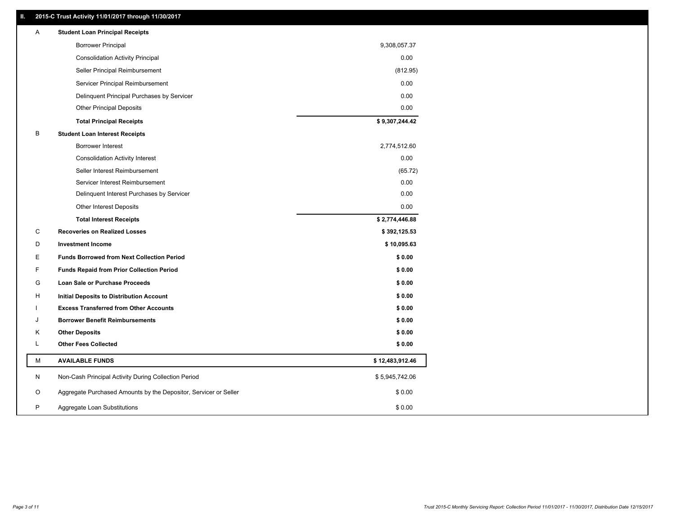# **II. 2015-C Trust Activity 11/01/2017 through 11/30/2017**

| <b>Borrower Principal</b><br>9,308,057.37<br><b>Consolidation Activity Principal</b><br>0.00<br>Seller Principal Reimbursement<br>(812.95)<br>0.00<br>Servicer Principal Reimbursement<br>Delinquent Principal Purchases by Servicer<br>0.00<br><b>Other Principal Deposits</b><br>0.00<br>\$9,307,244.42<br><b>Total Principal Receipts</b><br>В<br><b>Student Loan Interest Receipts</b><br><b>Borrower Interest</b><br>2,774,512.60<br>0.00<br><b>Consolidation Activity Interest</b><br>Seller Interest Reimbursement<br>(65.72)<br>0.00<br>Servicer Interest Reimbursement<br>0.00<br>Delinquent Interest Purchases by Servicer<br>0.00<br><b>Other Interest Deposits</b><br>\$2,774,446.88<br><b>Total Interest Receipts</b><br>C<br><b>Recoveries on Realized Losses</b><br>\$392,125.53<br>D<br><b>Investment Income</b><br>\$10,095.63 |  |
|-------------------------------------------------------------------------------------------------------------------------------------------------------------------------------------------------------------------------------------------------------------------------------------------------------------------------------------------------------------------------------------------------------------------------------------------------------------------------------------------------------------------------------------------------------------------------------------------------------------------------------------------------------------------------------------------------------------------------------------------------------------------------------------------------------------------------------------------------|--|
|                                                                                                                                                                                                                                                                                                                                                                                                                                                                                                                                                                                                                                                                                                                                                                                                                                                 |  |
|                                                                                                                                                                                                                                                                                                                                                                                                                                                                                                                                                                                                                                                                                                                                                                                                                                                 |  |
|                                                                                                                                                                                                                                                                                                                                                                                                                                                                                                                                                                                                                                                                                                                                                                                                                                                 |  |
|                                                                                                                                                                                                                                                                                                                                                                                                                                                                                                                                                                                                                                                                                                                                                                                                                                                 |  |
|                                                                                                                                                                                                                                                                                                                                                                                                                                                                                                                                                                                                                                                                                                                                                                                                                                                 |  |
|                                                                                                                                                                                                                                                                                                                                                                                                                                                                                                                                                                                                                                                                                                                                                                                                                                                 |  |
|                                                                                                                                                                                                                                                                                                                                                                                                                                                                                                                                                                                                                                                                                                                                                                                                                                                 |  |
|                                                                                                                                                                                                                                                                                                                                                                                                                                                                                                                                                                                                                                                                                                                                                                                                                                                 |  |
|                                                                                                                                                                                                                                                                                                                                                                                                                                                                                                                                                                                                                                                                                                                                                                                                                                                 |  |
|                                                                                                                                                                                                                                                                                                                                                                                                                                                                                                                                                                                                                                                                                                                                                                                                                                                 |  |
|                                                                                                                                                                                                                                                                                                                                                                                                                                                                                                                                                                                                                                                                                                                                                                                                                                                 |  |
|                                                                                                                                                                                                                                                                                                                                                                                                                                                                                                                                                                                                                                                                                                                                                                                                                                                 |  |
|                                                                                                                                                                                                                                                                                                                                                                                                                                                                                                                                                                                                                                                                                                                                                                                                                                                 |  |
|                                                                                                                                                                                                                                                                                                                                                                                                                                                                                                                                                                                                                                                                                                                                                                                                                                                 |  |
|                                                                                                                                                                                                                                                                                                                                                                                                                                                                                                                                                                                                                                                                                                                                                                                                                                                 |  |
|                                                                                                                                                                                                                                                                                                                                                                                                                                                                                                                                                                                                                                                                                                                                                                                                                                                 |  |
|                                                                                                                                                                                                                                                                                                                                                                                                                                                                                                                                                                                                                                                                                                                                                                                                                                                 |  |
| E<br><b>Funds Borrowed from Next Collection Period</b><br>\$0.00                                                                                                                                                                                                                                                                                                                                                                                                                                                                                                                                                                                                                                                                                                                                                                                |  |
| F<br><b>Funds Repaid from Prior Collection Period</b><br>\$0.00                                                                                                                                                                                                                                                                                                                                                                                                                                                                                                                                                                                                                                                                                                                                                                                 |  |
| G<br>\$0.00<br>Loan Sale or Purchase Proceeds                                                                                                                                                                                                                                                                                                                                                                                                                                                                                                                                                                                                                                                                                                                                                                                                   |  |
| \$0.00<br>н<br>Initial Deposits to Distribution Account                                                                                                                                                                                                                                                                                                                                                                                                                                                                                                                                                                                                                                                                                                                                                                                         |  |
| \$0.00<br><b>Excess Transferred from Other Accounts</b>                                                                                                                                                                                                                                                                                                                                                                                                                                                                                                                                                                                                                                                                                                                                                                                         |  |
| <b>Borrower Benefit Reimbursements</b><br>\$0.00<br>J                                                                                                                                                                                                                                                                                                                                                                                                                                                                                                                                                                                                                                                                                                                                                                                           |  |
| <b>Other Deposits</b><br>\$0.00<br>Κ                                                                                                                                                                                                                                                                                                                                                                                                                                                                                                                                                                                                                                                                                                                                                                                                            |  |
| Г<br><b>Other Fees Collected</b><br>\$0.00                                                                                                                                                                                                                                                                                                                                                                                                                                                                                                                                                                                                                                                                                                                                                                                                      |  |
| М<br><b>AVAILABLE FUNDS</b><br>\$12,483,912.46                                                                                                                                                                                                                                                                                                                                                                                                                                                                                                                                                                                                                                                                                                                                                                                                  |  |
| N<br>Non-Cash Principal Activity During Collection Period<br>\$5,945,742.06                                                                                                                                                                                                                                                                                                                                                                                                                                                                                                                                                                                                                                                                                                                                                                     |  |
| O<br>Aggregate Purchased Amounts by the Depositor, Servicer or Seller<br>\$0.00                                                                                                                                                                                                                                                                                                                                                                                                                                                                                                                                                                                                                                                                                                                                                                 |  |
| P<br>\$0.00<br>Aggregate Loan Substitutions                                                                                                                                                                                                                                                                                                                                                                                                                                                                                                                                                                                                                                                                                                                                                                                                     |  |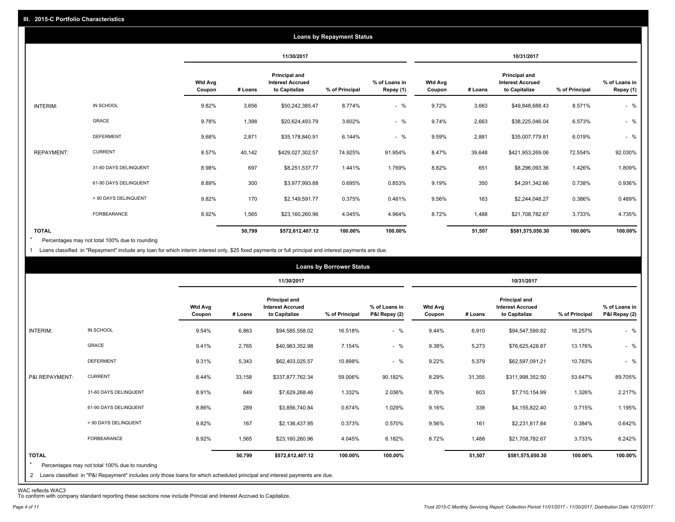|                   |                       |                          |         |                                                           | <b>Loans by Repayment Status</b> |                            |                          |         |                                                           |                |                            |
|-------------------|-----------------------|--------------------------|---------|-----------------------------------------------------------|----------------------------------|----------------------------|--------------------------|---------|-----------------------------------------------------------|----------------|----------------------------|
|                   |                       |                          |         | 11/30/2017                                                |                                  |                            |                          |         | 10/31/2017                                                |                |                            |
|                   |                       | <b>Wtd Avg</b><br>Coupon | # Loans | Principal and<br><b>Interest Accrued</b><br>to Capitalize | % of Principal                   | % of Loans in<br>Repay (1) | <b>Wtd Avg</b><br>Coupon | # Loans | Principal and<br><b>Interest Accrued</b><br>to Capitalize | % of Principal | % of Loans in<br>Repay (1) |
| INTERIM:          | IN SCHOOL             | 9.82%                    | 3,656   | \$50,242,385.47                                           | 8.774%                           | $-$ %                      | 9.72%                    | 3,663   | \$49,848,688.43                                           | 8.571%         | $-$ %                      |
|                   | GRACE                 | 9.78%                    | 1,398   | \$20,624,493.79                                           | 3.602%                           | $-$ %                      | 9.74%                    | 2,663   | \$38,225,046.04                                           | 6.573%         | $-$ %                      |
|                   | <b>DEFERMENT</b>      | 9.68%                    | 2,871   | \$35,178,840.91                                           | 6.144%                           | $-$ %                      | 9.59%                    | 2,881   | \$35,007,779.81                                           | 6.019%         | $-$ %                      |
| <b>REPAYMENT:</b> | <b>CURRENT</b>        | 8.57%                    | 40,142  | \$429,027,302.57                                          | 74.925%                          | 91.954%                    | 8.47%                    | 39,648  | \$421,953,269.06                                          | 72.554%        | 92.030%                    |
|                   | 31-60 DAYS DELINQUENT | 8.98%                    | 697     | \$8,251,537.77                                            | 1.441%                           | 1.769%                     | 8.82%                    | 651     | \$8,296,093.36                                            | 1.426%         | 1.809%                     |
|                   | 61-90 DAYS DELINQUENT | 8.89%                    | 300     | \$3,977,993.88                                            | 0.695%                           | 0.853%                     | 9.19%                    | 350     | \$4,291,342.66                                            | 0.738%         | 0.936%                     |
|                   | > 90 DAYS DELINQUENT  | 9.82%                    | 170     | \$2,149,591.77                                            | 0.375%                           | 0.461%                     | 9.56%                    | 163     | \$2,244,048.27                                            | 0.386%         | 0.489%                     |
|                   | FORBEARANCE           | 8.92%                    | 1,565   | \$23,160,260.96                                           | 4.045%                           | 4.964%                     | 8.72%                    | 1,488   | \$21,708,782.67                                           | 3.733%         | 4.735%                     |
| <b>TOTAL</b>      |                       |                          | 50,799  | \$572,612,407.12                                          | 100.00%                          | 100.00%                    |                          | 51,507  | \$581,575,050.30                                          | 100.00%        | 100.00%                    |

Percentages may not total 100% due to rounding \*

1 Loans classified in "Repayment" include any loan for which interim interest only, \$25 fixed payments or full principal and interest payments are due.

|                                                                                                                                                                                                           |                          |         |                                                                  | <b>Loans by Borrower Status</b> |                                |                          |         |                                                                  |                |                                |
|-----------------------------------------------------------------------------------------------------------------------------------------------------------------------------------------------------------|--------------------------|---------|------------------------------------------------------------------|---------------------------------|--------------------------------|--------------------------|---------|------------------------------------------------------------------|----------------|--------------------------------|
|                                                                                                                                                                                                           |                          |         | 11/30/2017                                                       |                                 |                                |                          |         | 10/31/2017                                                       |                |                                |
|                                                                                                                                                                                                           | <b>Wtd Avg</b><br>Coupon | # Loans | <b>Principal and</b><br><b>Interest Accrued</b><br>to Capitalize | % of Principal                  | % of Loans in<br>P&I Repay (2) | <b>Wtd Avg</b><br>Coupon | # Loans | <b>Principal and</b><br><b>Interest Accrued</b><br>to Capitalize | % of Principal | % of Loans in<br>P&I Repay (2) |
| IN SCHOOL<br>INTERIM:                                                                                                                                                                                     | 9.54%                    | 6,863   | \$94,585,558.02                                                  | 16.518%                         | $-$ %                          | 9.44%                    | 6,910   | \$94,547,599.82                                                  | 16.257%        | $-$ %                          |
| GRACE                                                                                                                                                                                                     | 9.41%                    | 2,765   | \$40,963,352.98                                                  | 7.154%                          | $-$ %                          | 9.38%                    | 5,273   | \$76,625,428.87                                                  | 13.176%        | $-$ %                          |
| <b>DEFERMENT</b>                                                                                                                                                                                          | 9.31%                    | 5,343   | \$62,403,025.57                                                  | 10.898%                         | $-$ %                          | 9.22%                    | 5,379   | \$62,597,091.21                                                  | 10.763%        | $-$ %                          |
| <b>CURRENT</b><br>P&I REPAYMENT:                                                                                                                                                                          | 8.44%                    | 33,158  | \$337,877,762.34                                                 | 59.006%                         | 90.182%                        | 8.29%                    | 31,355  | \$311,998,352.50                                                 | 53.647%        | 89.705%                        |
| 31-60 DAYS DELINQUENT                                                                                                                                                                                     | 8.91%                    | 649     | \$7,629,268.46                                                   | 1.332%                          | 2.036%                         | 8.76%                    | 603     | \$7,710,154.99                                                   | 1.326%         | 2.217%                         |
| 61-90 DAYS DELINQUENT                                                                                                                                                                                     | 8.86%                    | 289     | \$3,856,740.84                                                   | 0.674%                          | 1.029%                         | 9.16%                    | 338     | \$4,155,822.40                                                   | 0.715%         | 1.195%                         |
| > 90 DAYS DELINQUENT                                                                                                                                                                                      | 9.82%                    | 167     | \$2,136,437.95                                                   | 0.373%                          | 0.570%                         | 9.56%                    | 161     | \$2,231,817.84                                                   | 0.384%         | 0.642%                         |
| <b>FORBEARANCE</b>                                                                                                                                                                                        | 8.92%                    | 1,565   | \$23,160,260.96                                                  | 4.045%                          | 6.182%                         | 8.72%                    | 1,488   | \$21,708,782.67                                                  | 3.733%         | 6.242%                         |
| <b>TOTAL</b><br>$\star$<br>Percentages may not total 100% due to rounding<br>2 Loans classified in "P&I Repayment" includes only those loans for which scheduled principal and interest payments are due. |                          | 50,799  | \$572,612,407.12                                                 | 100.00%                         | 100.00%                        |                          | 51,507  | \$581,575,050.30                                                 | 100.00%        | 100.00%                        |

WAC reflects WAC3 To conform with company standard reporting these sections now include Princial and Interest Accrued to Capitalize.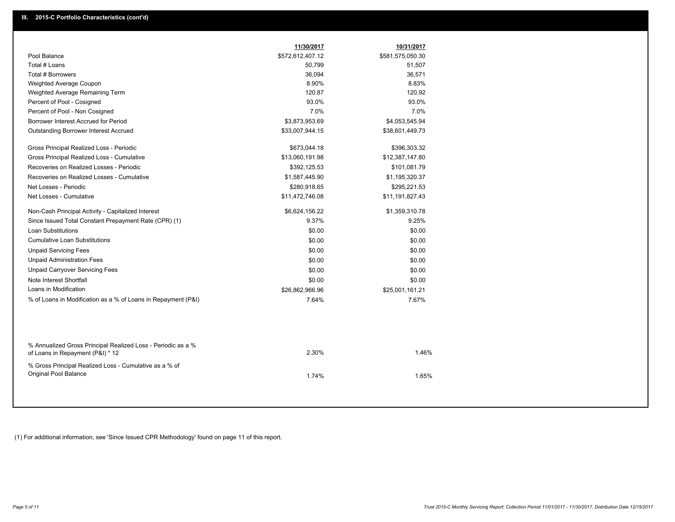| Pool Balance<br>\$572,612,407.12<br>\$581,575,050.30<br>Total # Loans<br>50,799<br>51,507<br>Total # Borrowers<br>36,094<br>36,571<br>8.90%<br>8.83%<br>Weighted Average Coupon<br>120.87<br>120.92<br>Weighted Average Remaining Term<br>Percent of Pool - Cosigned<br>93.0%<br>93.0%<br>7.0%<br>7.0%<br>Percent of Pool - Non Cosigned<br>Borrower Interest Accrued for Period<br>\$3,873,953.69<br>\$4,053,545.94<br>\$33,007,944.15<br>\$38,601,449.73<br><b>Outstanding Borrower Interest Accrued</b><br>Gross Principal Realized Loss - Periodic<br>\$673,044.18<br>\$396,303.32<br>Gross Principal Realized Loss - Cumulative<br>\$13,060,191.98<br>\$12,387,147.80<br>Recoveries on Realized Losses - Periodic<br>\$392,125.53<br>\$101,081.79<br>Recoveries on Realized Losses - Cumulative<br>\$1,587,445.90<br>\$1,195,320.37<br>Net Losses - Periodic<br>\$280,918.65<br>\$295,221.53<br>Net Losses - Cumulative<br>\$11,472,746.08<br>\$11,191,827.43<br>Non-Cash Principal Activity - Capitalized Interest<br>\$6,624,156.22<br>\$1,359,310.78<br>Since Issued Total Constant Prepayment Rate (CPR) (1)<br>9.37%<br>9.25%<br><b>Loan Substitutions</b><br>\$0.00<br>\$0.00<br><b>Cumulative Loan Substitutions</b><br>\$0.00<br>\$0.00<br><b>Unpaid Servicing Fees</b><br>\$0.00<br>\$0.00<br><b>Unpaid Administration Fees</b><br>\$0.00<br>\$0.00<br><b>Unpaid Carryover Servicing Fees</b><br>\$0.00<br>\$0.00<br>Note Interest Shortfall<br>\$0.00<br>\$0.00<br>Loans in Modification<br>\$26,862,966.96<br>\$25,001,161.21<br>% of Loans in Modification as a % of Loans in Repayment (P&I)<br>7.64%<br>7.67%<br>% Annualized Gross Principal Realized Loss - Periodic as a %<br>2.30%<br>1.46%<br>of Loans in Repayment (P&I) * 12<br>% Gross Principal Realized Loss - Cumulative as a % of<br>Original Pool Balance<br>1.74%<br>1.65% | 11/30/2017 | 10/31/2017 |  |
|-------------------------------------------------------------------------------------------------------------------------------------------------------------------------------------------------------------------------------------------------------------------------------------------------------------------------------------------------------------------------------------------------------------------------------------------------------------------------------------------------------------------------------------------------------------------------------------------------------------------------------------------------------------------------------------------------------------------------------------------------------------------------------------------------------------------------------------------------------------------------------------------------------------------------------------------------------------------------------------------------------------------------------------------------------------------------------------------------------------------------------------------------------------------------------------------------------------------------------------------------------------------------------------------------------------------------------------------------------------------------------------------------------------------------------------------------------------------------------------------------------------------------------------------------------------------------------------------------------------------------------------------------------------------------------------------------------------------------------------------------------------------------------------------------------------------------------------------------------------|------------|------------|--|
|                                                                                                                                                                                                                                                                                                                                                                                                                                                                                                                                                                                                                                                                                                                                                                                                                                                                                                                                                                                                                                                                                                                                                                                                                                                                                                                                                                                                                                                                                                                                                                                                                                                                                                                                                                                                                                                             |            |            |  |
|                                                                                                                                                                                                                                                                                                                                                                                                                                                                                                                                                                                                                                                                                                                                                                                                                                                                                                                                                                                                                                                                                                                                                                                                                                                                                                                                                                                                                                                                                                                                                                                                                                                                                                                                                                                                                                                             |            |            |  |
|                                                                                                                                                                                                                                                                                                                                                                                                                                                                                                                                                                                                                                                                                                                                                                                                                                                                                                                                                                                                                                                                                                                                                                                                                                                                                                                                                                                                                                                                                                                                                                                                                                                                                                                                                                                                                                                             |            |            |  |
|                                                                                                                                                                                                                                                                                                                                                                                                                                                                                                                                                                                                                                                                                                                                                                                                                                                                                                                                                                                                                                                                                                                                                                                                                                                                                                                                                                                                                                                                                                                                                                                                                                                                                                                                                                                                                                                             |            |            |  |
|                                                                                                                                                                                                                                                                                                                                                                                                                                                                                                                                                                                                                                                                                                                                                                                                                                                                                                                                                                                                                                                                                                                                                                                                                                                                                                                                                                                                                                                                                                                                                                                                                                                                                                                                                                                                                                                             |            |            |  |
|                                                                                                                                                                                                                                                                                                                                                                                                                                                                                                                                                                                                                                                                                                                                                                                                                                                                                                                                                                                                                                                                                                                                                                                                                                                                                                                                                                                                                                                                                                                                                                                                                                                                                                                                                                                                                                                             |            |            |  |
|                                                                                                                                                                                                                                                                                                                                                                                                                                                                                                                                                                                                                                                                                                                                                                                                                                                                                                                                                                                                                                                                                                                                                                                                                                                                                                                                                                                                                                                                                                                                                                                                                                                                                                                                                                                                                                                             |            |            |  |
|                                                                                                                                                                                                                                                                                                                                                                                                                                                                                                                                                                                                                                                                                                                                                                                                                                                                                                                                                                                                                                                                                                                                                                                                                                                                                                                                                                                                                                                                                                                                                                                                                                                                                                                                                                                                                                                             |            |            |  |
|                                                                                                                                                                                                                                                                                                                                                                                                                                                                                                                                                                                                                                                                                                                                                                                                                                                                                                                                                                                                                                                                                                                                                                                                                                                                                                                                                                                                                                                                                                                                                                                                                                                                                                                                                                                                                                                             |            |            |  |
|                                                                                                                                                                                                                                                                                                                                                                                                                                                                                                                                                                                                                                                                                                                                                                                                                                                                                                                                                                                                                                                                                                                                                                                                                                                                                                                                                                                                                                                                                                                                                                                                                                                                                                                                                                                                                                                             |            |            |  |
|                                                                                                                                                                                                                                                                                                                                                                                                                                                                                                                                                                                                                                                                                                                                                                                                                                                                                                                                                                                                                                                                                                                                                                                                                                                                                                                                                                                                                                                                                                                                                                                                                                                                                                                                                                                                                                                             |            |            |  |
|                                                                                                                                                                                                                                                                                                                                                                                                                                                                                                                                                                                                                                                                                                                                                                                                                                                                                                                                                                                                                                                                                                                                                                                                                                                                                                                                                                                                                                                                                                                                                                                                                                                                                                                                                                                                                                                             |            |            |  |
|                                                                                                                                                                                                                                                                                                                                                                                                                                                                                                                                                                                                                                                                                                                                                                                                                                                                                                                                                                                                                                                                                                                                                                                                                                                                                                                                                                                                                                                                                                                                                                                                                                                                                                                                                                                                                                                             |            |            |  |
|                                                                                                                                                                                                                                                                                                                                                                                                                                                                                                                                                                                                                                                                                                                                                                                                                                                                                                                                                                                                                                                                                                                                                                                                                                                                                                                                                                                                                                                                                                                                                                                                                                                                                                                                                                                                                                                             |            |            |  |
|                                                                                                                                                                                                                                                                                                                                                                                                                                                                                                                                                                                                                                                                                                                                                                                                                                                                                                                                                                                                                                                                                                                                                                                                                                                                                                                                                                                                                                                                                                                                                                                                                                                                                                                                                                                                                                                             |            |            |  |
|                                                                                                                                                                                                                                                                                                                                                                                                                                                                                                                                                                                                                                                                                                                                                                                                                                                                                                                                                                                                                                                                                                                                                                                                                                                                                                                                                                                                                                                                                                                                                                                                                                                                                                                                                                                                                                                             |            |            |  |
|                                                                                                                                                                                                                                                                                                                                                                                                                                                                                                                                                                                                                                                                                                                                                                                                                                                                                                                                                                                                                                                                                                                                                                                                                                                                                                                                                                                                                                                                                                                                                                                                                                                                                                                                                                                                                                                             |            |            |  |
|                                                                                                                                                                                                                                                                                                                                                                                                                                                                                                                                                                                                                                                                                                                                                                                                                                                                                                                                                                                                                                                                                                                                                                                                                                                                                                                                                                                                                                                                                                                                                                                                                                                                                                                                                                                                                                                             |            |            |  |
|                                                                                                                                                                                                                                                                                                                                                                                                                                                                                                                                                                                                                                                                                                                                                                                                                                                                                                                                                                                                                                                                                                                                                                                                                                                                                                                                                                                                                                                                                                                                                                                                                                                                                                                                                                                                                                                             |            |            |  |
|                                                                                                                                                                                                                                                                                                                                                                                                                                                                                                                                                                                                                                                                                                                                                                                                                                                                                                                                                                                                                                                                                                                                                                                                                                                                                                                                                                                                                                                                                                                                                                                                                                                                                                                                                                                                                                                             |            |            |  |
|                                                                                                                                                                                                                                                                                                                                                                                                                                                                                                                                                                                                                                                                                                                                                                                                                                                                                                                                                                                                                                                                                                                                                                                                                                                                                                                                                                                                                                                                                                                                                                                                                                                                                                                                                                                                                                                             |            |            |  |
|                                                                                                                                                                                                                                                                                                                                                                                                                                                                                                                                                                                                                                                                                                                                                                                                                                                                                                                                                                                                                                                                                                                                                                                                                                                                                                                                                                                                                                                                                                                                                                                                                                                                                                                                                                                                                                                             |            |            |  |
|                                                                                                                                                                                                                                                                                                                                                                                                                                                                                                                                                                                                                                                                                                                                                                                                                                                                                                                                                                                                                                                                                                                                                                                                                                                                                                                                                                                                                                                                                                                                                                                                                                                                                                                                                                                                                                                             |            |            |  |
|                                                                                                                                                                                                                                                                                                                                                                                                                                                                                                                                                                                                                                                                                                                                                                                                                                                                                                                                                                                                                                                                                                                                                                                                                                                                                                                                                                                                                                                                                                                                                                                                                                                                                                                                                                                                                                                             |            |            |  |
|                                                                                                                                                                                                                                                                                                                                                                                                                                                                                                                                                                                                                                                                                                                                                                                                                                                                                                                                                                                                                                                                                                                                                                                                                                                                                                                                                                                                                                                                                                                                                                                                                                                                                                                                                                                                                                                             |            |            |  |
|                                                                                                                                                                                                                                                                                                                                                                                                                                                                                                                                                                                                                                                                                                                                                                                                                                                                                                                                                                                                                                                                                                                                                                                                                                                                                                                                                                                                                                                                                                                                                                                                                                                                                                                                                                                                                                                             |            |            |  |
|                                                                                                                                                                                                                                                                                                                                                                                                                                                                                                                                                                                                                                                                                                                                                                                                                                                                                                                                                                                                                                                                                                                                                                                                                                                                                                                                                                                                                                                                                                                                                                                                                                                                                                                                                                                                                                                             |            |            |  |
|                                                                                                                                                                                                                                                                                                                                                                                                                                                                                                                                                                                                                                                                                                                                                                                                                                                                                                                                                                                                                                                                                                                                                                                                                                                                                                                                                                                                                                                                                                                                                                                                                                                                                                                                                                                                                                                             |            |            |  |

(1) For additional information, see 'Since Issued CPR Methodology' found on page 11 of this report.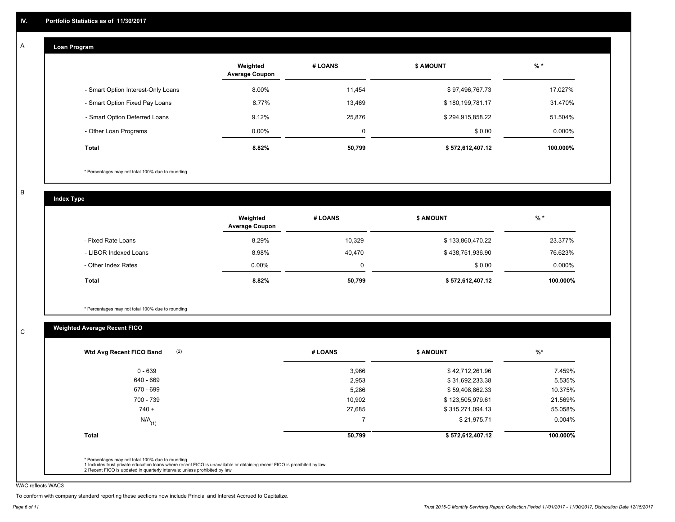#### **Loan Program**  A

|                                    | Weighted<br><b>Average Coupon</b> | # LOANS | <b>\$ AMOUNT</b> | $%$ *    |
|------------------------------------|-----------------------------------|---------|------------------|----------|
| - Smart Option Interest-Only Loans | 8.00%                             | 11,454  | \$97,496,767.73  | 17.027%  |
| - Smart Option Fixed Pay Loans     | 8.77%                             | 13,469  | \$180,199,781.17 | 31.470%  |
| - Smart Option Deferred Loans      | 9.12%                             | 25,876  | \$294,915,858.22 | 51.504%  |
| - Other Loan Programs              | $0.00\%$                          | 0       | \$0.00           | 0.000%   |
| <b>Total</b>                       | 8.82%                             | 50,799  | \$572,612,407.12 | 100.000% |

\* Percentages may not total 100% due to rounding

B

C

**Index Type**

|                       | Weighted<br><b>Average Coupon</b> | # LOANS  | <b>\$ AMOUNT</b> | $%$ *    |
|-----------------------|-----------------------------------|----------|------------------|----------|
| - Fixed Rate Loans    | 8.29%                             | 10,329   | \$133,860,470.22 | 23.377%  |
| - LIBOR Indexed Loans | 8.98%                             | 40,470   | \$438,751,936.90 | 76.623%  |
| - Other Index Rates   | $0.00\%$                          | $\Omega$ | \$0.00           | 0.000%   |
| Total                 | 8.82%                             | 50,799   | \$572,612,407.12 | 100.000% |

\* Percentages may not total 100% due to rounding

# **Weighted Average Recent FICO**

| $0 - 639$            | 3,966  | \$42,712,261.96  | 7.459%    |
|----------------------|--------|------------------|-----------|
| 640 - 669            | 2,953  | \$31,692,233.38  | 5.535%    |
| 670 - 699            | 5,286  | \$59,408,862.33  | 10.375%   |
| 700 - 739            | 10,902 | \$123,505,979.61 | 21.569%   |
| $740 +$              | 27,685 | \$315,271,094.13 | 55.058%   |
| $N/A$ <sub>(1)</sub> |        | \$21,975.71      | $0.004\%$ |
| <b>Total</b>         | 50,799 | \$572,612,407.12 | 100.000%  |

WAC reflects WAC3

To conform with company standard reporting these sections now include Princial and Interest Accrued to Capitalize.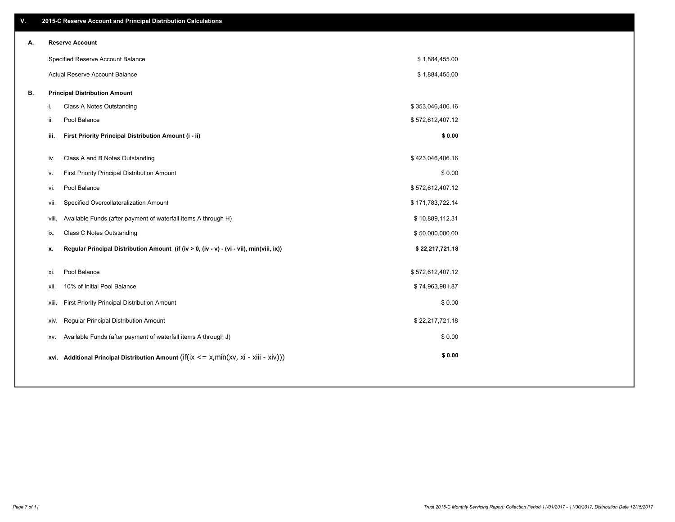| V. | 2015-C Reserve Account and Principal Distribution Calculations                                 |                  |  |
|----|------------------------------------------------------------------------------------------------|------------------|--|
| А. | <b>Reserve Account</b>                                                                         |                  |  |
|    | Specified Reserve Account Balance                                                              | \$1,884,455.00   |  |
|    | Actual Reserve Account Balance                                                                 | \$1,884,455.00   |  |
| В. | <b>Principal Distribution Amount</b>                                                           |                  |  |
|    | Class A Notes Outstanding<br>i.                                                                | \$353,046,406.16 |  |
|    | Pool Balance<br>ii.                                                                            | \$572,612,407.12 |  |
|    | First Priority Principal Distribution Amount (i - ii)<br>iii.                                  | \$0.00           |  |
|    |                                                                                                |                  |  |
|    | Class A and B Notes Outstanding<br>iv.                                                         | \$423,046,406.16 |  |
|    | First Priority Principal Distribution Amount<br>v.                                             | \$0.00           |  |
|    | Pool Balance<br>vi.                                                                            | \$572,612,407.12 |  |
|    | Specified Overcollateralization Amount<br>vii.                                                 | \$171,783,722.14 |  |
|    | Available Funds (after payment of waterfall items A through H)<br>viii.                        | \$10,889,112.31  |  |
|    | <b>Class C Notes Outstanding</b><br>ix.                                                        | \$50,000,000.00  |  |
|    | Regular Principal Distribution Amount (if (iv > 0, (iv - v) - (vi - vii), min(viii, ix))<br>x. | \$22,217,721.18  |  |
|    |                                                                                                |                  |  |
|    | Pool Balance<br>xi.                                                                            | \$572,612,407.12 |  |
|    | 10% of Initial Pool Balance<br>xii.                                                            | \$74,963,981.87  |  |
|    | First Priority Principal Distribution Amount<br>xiii.                                          | \$0.00           |  |
|    | <b>Regular Principal Distribution Amount</b><br>xiv.                                           | \$22,217,721.18  |  |
|    | Available Funds (after payment of waterfall items A through J)<br>XV.                          | \$0.00           |  |
|    | xvi. Additional Principal Distribution Amount (if(ix $\lt$ = x, min(xv, xi - xiii - xiv)))     | \$0.00           |  |
|    |                                                                                                |                  |  |
|    |                                                                                                |                  |  |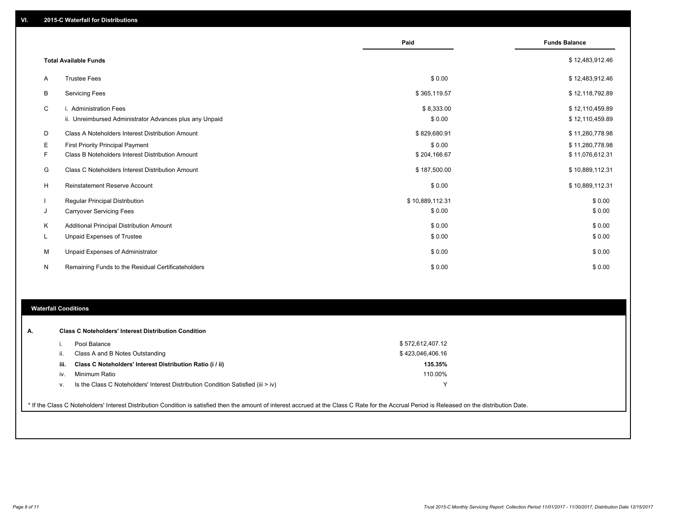|    |                                                                                   | Paid                 | <b>Funds Balance</b>               |
|----|-----------------------------------------------------------------------------------|----------------------|------------------------------------|
|    | <b>Total Available Funds</b>                                                      |                      | \$12,483,912.46                    |
| A  | <b>Trustee Fees</b>                                                               | \$0.00               | \$12,483,912.46                    |
| B  | <b>Servicing Fees</b>                                                             | \$365,119.57         | \$12,118,792.89                    |
| C  | i. Administration Fees<br>ii. Unreimbursed Administrator Advances plus any Unpaid | \$8,333.00<br>\$0.00 | \$12,110,459.89<br>\$12,110,459.89 |
| D  | Class A Noteholders Interest Distribution Amount                                  | \$829,680.91         | \$11,280,778.98                    |
| Е  | First Priority Principal Payment                                                  | \$0.00               | \$11,280,778.98                    |
| F  | Class B Noteholders Interest Distribution Amount                                  | \$204,166.67         | \$11,076,612.31                    |
| G  | Class C Noteholders Interest Distribution Amount                                  | \$187,500.00         | \$10,889,112.31                    |
| H  | Reinstatement Reserve Account                                                     | \$0.00               | \$10,889,112.31                    |
|    | Regular Principal Distribution                                                    | \$10,889,112.31      | \$0.00                             |
| J  | <b>Carryover Servicing Fees</b>                                                   | \$0.00               | \$0.00                             |
| Κ  | Additional Principal Distribution Amount                                          | \$0.00               | \$0.00                             |
| L. | Unpaid Expenses of Trustee                                                        | \$0.00               | \$0.00                             |
| М  | Unpaid Expenses of Administrator                                                  | \$0.00               | \$0.00                             |
| N  | Remaining Funds to the Residual Certificateholders                                | \$0.00               | \$0.00                             |

# **Waterfall Conditions**

|      | Pool Balance                                                                       | \$572,612,407.12 |
|------|------------------------------------------------------------------------------------|------------------|
| Ш.   | Class A and B Notes Outstanding                                                    | \$423,046,406.16 |
| iii. | Class C Noteholders' Interest Distribution Ratio (i / ii)                          | 135.35%          |
| iv.  | Minimum Ratio                                                                      | 110.00%          |
| ν.   | Is the Class C Noteholders' Interest Distribution Condition Satisfied (iii $>$ iv) |                  |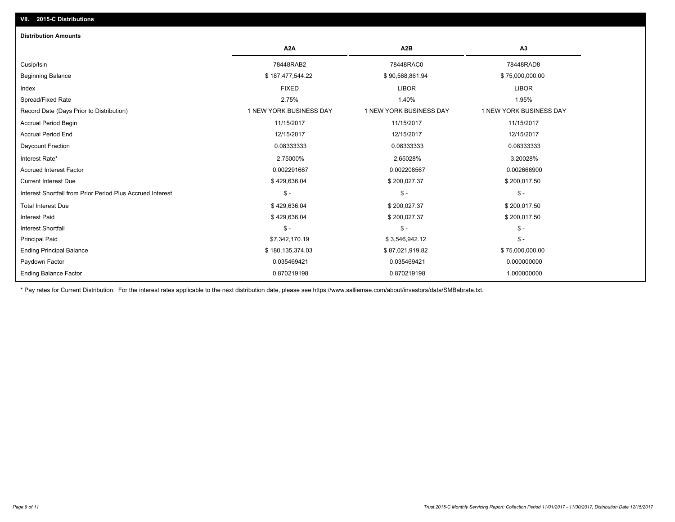# **VII. 2015-C Distributions**

| <b>Distribution Amounts</b>                                |                         |                         |                         |
|------------------------------------------------------------|-------------------------|-------------------------|-------------------------|
|                                                            | A <sub>2</sub> A        | A <sub>2</sub> B        | A <sub>3</sub>          |
| Cusip/Isin                                                 | 78448RAB2               | 78448RAC0               | 78448RAD8               |
| <b>Beginning Balance</b>                                   | \$187,477,544.22        | \$90,568,861.94         | \$75,000,000.00         |
| Index                                                      | <b>FIXED</b>            | <b>LIBOR</b>            | <b>LIBOR</b>            |
| Spread/Fixed Rate                                          | 2.75%                   | 1.40%                   | 1.95%                   |
| Record Date (Days Prior to Distribution)                   | 1 NEW YORK BUSINESS DAY | 1 NEW YORK BUSINESS DAY | 1 NEW YORK BUSINESS DAY |
| <b>Accrual Period Begin</b>                                | 11/15/2017              | 11/15/2017              | 11/15/2017              |
| <b>Accrual Period End</b>                                  | 12/15/2017              | 12/15/2017              | 12/15/2017              |
| Daycount Fraction                                          | 0.08333333              | 0.08333333              | 0.08333333              |
| Interest Rate*                                             | 2.75000%                | 2.65028%                | 3.20028%                |
| <b>Accrued Interest Factor</b>                             | 0.002291667             | 0.002208567             | 0.002666900             |
| <b>Current Interest Due</b>                                | \$429,636.04            | \$200,027.37            | \$200,017.50            |
| Interest Shortfall from Prior Period Plus Accrued Interest | $\mathsf{\$}$ -         | $\frac{1}{2}$           | $\mathsf{\$}$ -         |
| <b>Total Interest Due</b>                                  | \$429,636.04            | \$200,027.37            | \$200,017.50            |
| <b>Interest Paid</b>                                       | \$429,636.04            | \$200,027.37            | \$200,017.50            |
| <b>Interest Shortfall</b>                                  | $\mathcal{S}$ -         | $\mathsf{\$}$ -         | $\mathsf{\$}$ -         |
| <b>Principal Paid</b>                                      | \$7,342,170.19          | \$3,546,942.12          | $\mathsf{\$}$ -         |
| <b>Ending Principal Balance</b>                            | \$180,135,374.03        | \$87,021,919.82         | \$75,000,000.00         |
| Paydown Factor                                             | 0.035469421             | 0.035469421             | 0.000000000             |
| <b>Ending Balance Factor</b>                               | 0.870219198             | 0.870219198             | 1.000000000             |

\* Pay rates for Current Distribution. For the interest rates applicable to the next distribution date, please see https://www.salliemae.com/about/investors/data/SMBabrate.txt.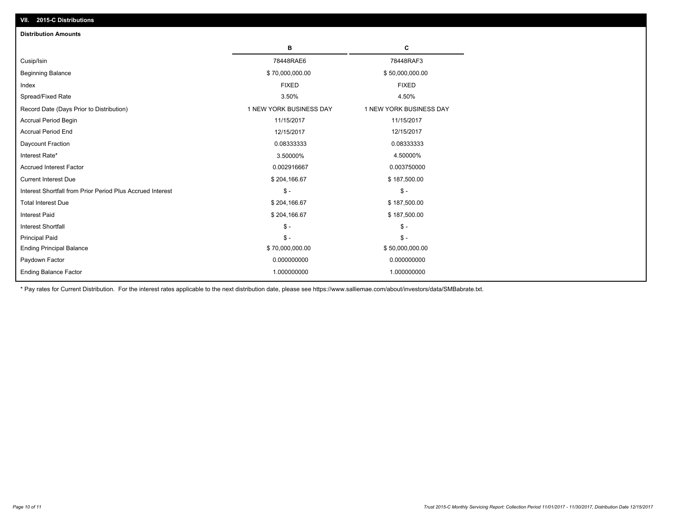| <b>Distribution Amounts</b>                                |                         |                         |
|------------------------------------------------------------|-------------------------|-------------------------|
|                                                            | в                       | c                       |
| Cusip/Isin                                                 | 78448RAE6               | 78448RAF3               |
| <b>Beginning Balance</b>                                   | \$70,000,000.00         | \$50,000,000.00         |
| Index                                                      | <b>FIXED</b>            | <b>FIXED</b>            |
| Spread/Fixed Rate                                          | 3.50%                   | 4.50%                   |
| Record Date (Days Prior to Distribution)                   | 1 NEW YORK BUSINESS DAY | 1 NEW YORK BUSINESS DAY |
| <b>Accrual Period Begin</b>                                | 11/15/2017              | 11/15/2017              |
| Accrual Period End                                         | 12/15/2017              | 12/15/2017              |
| Daycount Fraction                                          | 0.08333333              | 0.08333333              |
| Interest Rate*                                             | 3.50000%                | 4.50000%                |
| <b>Accrued Interest Factor</b>                             | 0.002916667             | 0.003750000             |
| <b>Current Interest Due</b>                                | \$204,166.67            | \$187,500.00            |
| Interest Shortfall from Prior Period Plus Accrued Interest | $\mathcal{S}$ -         | $$ -$                   |
| <b>Total Interest Due</b>                                  | \$204,166.67            | \$187,500.00            |
| <b>Interest Paid</b>                                       | \$204,166.67            | \$187,500.00            |
| <b>Interest Shortfall</b>                                  | $\mathsf{\$}$ -         | $S -$                   |
| <b>Principal Paid</b>                                      | $\mathsf{\$}$ -         | $\mathsf{\$}$ -         |
| <b>Ending Principal Balance</b>                            | \$70,000,000.00         | \$50,000,000.00         |
| Paydown Factor                                             | 0.000000000             | 0.000000000             |
| <b>Ending Balance Factor</b>                               | 1.000000000             | 1.000000000             |

\* Pay rates for Current Distribution. For the interest rates applicable to the next distribution date, please see https://www.salliemae.com/about/investors/data/SMBabrate.txt.

**VII. 2015-C Distributions**